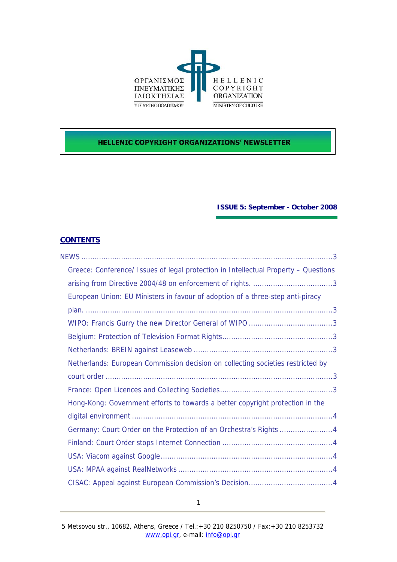

# **HELLENIC COPYRIGHT ORGANIZATIONS' NEWSLETTER**

# **ISSUE 5: September - October 2008**

# **CONTENTS**

| Greece: Conference/ Issues of legal protection in Intellectual Property - Questions |
|-------------------------------------------------------------------------------------|
|                                                                                     |
| European Union: EU Ministers in favour of adoption of a three-step anti-piracy      |
|                                                                                     |
|                                                                                     |
|                                                                                     |
|                                                                                     |
| Netherlands: European Commission decision on collecting societies restricted by     |
|                                                                                     |
|                                                                                     |
| Hong-Kong: Government efforts to towards a better copyright protection in the       |
|                                                                                     |
| Germany: Court Order on the Protection of an Orchestra's Rights 4                   |
|                                                                                     |
|                                                                                     |
|                                                                                     |
|                                                                                     |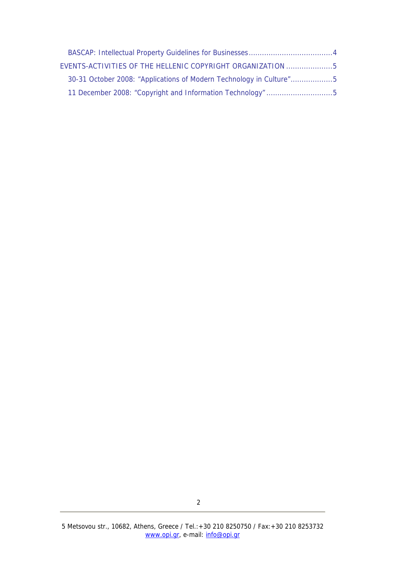| EVENTS-ACTIVITIES OF THE HELLENIC COPYRIGHT ORGANIZATION 5          |
|---------------------------------------------------------------------|
| 30-31 October 2008: "Applications of Modern Technology in Culture"5 |
|                                                                     |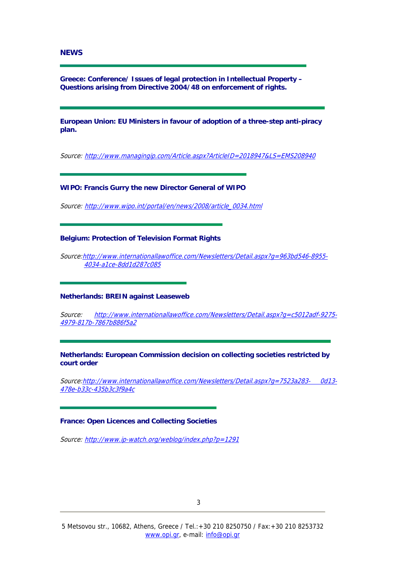### <span id="page-2-0"></span>**NEWS**

**Greece: Conference/ Issues of legal protection in Intellectual Property – Questions arising from Directive 2004/48 on enforcement of rights.** 

**European Union: EU Ministers in favour of adoption of a three-step anti-piracy plan.** 

Source: <http://www.managingip.com/Article.aspx?ArticleID=2018947&LS=EMS208940>

**WIPO: Francis Gurry the new Director General of WIPO** 

Source: [http://www.wipo.int/portal/en/news/2008/article\\_0034.html](http://www.wipo.int/portal/en/news/2008/article_0034.html)

**Belgium: Protection of Television Format Rights** 

Source:[http://www.internationallawoffice.com/Newsletters/Detail.aspx?g=963bd546-8955-](http://www.internationallawoffice.com/Newsletters/Detail.aspx?g=963bd546-8955-4034-a1ce-8dd1d287c085) [4034-a1ce-8dd1d287c085](http://www.internationallawoffice.com/Newsletters/Detail.aspx?g=963bd546-8955-4034-a1ce-8dd1d287c085)

## **Netherlands: BREIN against Leaseweb**

Source: [http://www.internationallawoffice.com/Newsletters/Detail.aspx?g=c5012adf-9275-](http://www.internationallawoffice.com/Newsletters/Detail.aspx?g=c5012adf-9275-4979-817b-7867b886f5a2) [4979-817b-7867b886f5a2](http://www.internationallawoffice.com/Newsletters/Detail.aspx?g=c5012adf-9275-4979-817b-7867b886f5a2)

**Netherlands: European Commission decision on collecting societies restricted by court order** 

Source:[http://www.internationallawoffice.com/Newsletters/Detail.aspx?g=7523a283- 0d13-](http://www.internationallawoffice.com/Newsletters/Detail.aspx?g=7523a283-%200d13-478e-b33c-435b3c3f9a4c) [478e-b33c-435b3c3f9a4c](http://www.internationallawoffice.com/Newsletters/Detail.aspx?g=7523a283-%200d13-478e-b33c-435b3c3f9a4c)

#### **France: Open Licences and Collecting Societies**

Source: <http://www.ip-watch.org/weblog/index.php?p=1291>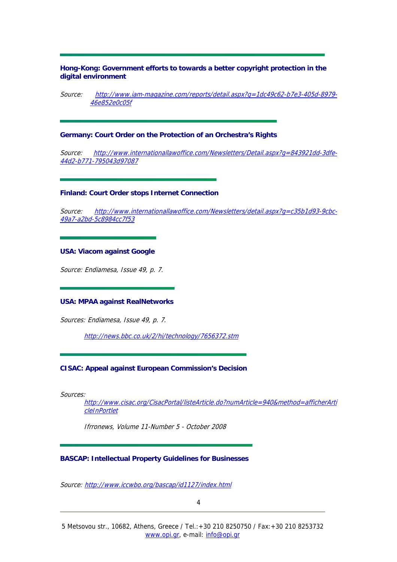<span id="page-3-0"></span>**Hong-Kong: Government efforts to towards a better copyright protection in the digital environment** 

Source: http://www.iam-magazine.com/reports/detail.aspx?q=1dc49c62-b7e3-405d-8979-[46e852e0c05f](http://www.iam-magazine.com/reports/detail.aspx?g=1dc49c62-b7e3-405d-8979-46e852e0c05f)

**Germany: Court Order on the Protection of an Orchestra's Rights** 

Source: [http://www.internationallawoffice.com/Newsletters/Detail.aspx?g=843921dd-3dfe-](http://www.internationallawoffice.com/Newsletters/Detail.aspx?g=843921dd-3dfe-44d2-b771-795043d97087)[44d2-b771-795043d97087](http://www.internationallawoffice.com/Newsletters/Detail.aspx?g=843921dd-3dfe-44d2-b771-795043d97087)

### **Finland: Court Order stops Internet Connection**

Source: [http://www.internationallawoffice.com/Newsletters/detail.aspx?g=c35b1d93-9cbc-](http://www.internationallawoffice.com/Newsletters/detail.aspx?g=c35b1d93-9cbc-49a7-a2bd-5c8984cc7f53)[49a7-a2bd-5c8984cc7f53](http://www.internationallawoffice.com/Newsletters/detail.aspx?g=c35b1d93-9cbc-49a7-a2bd-5c8984cc7f53)

## **USA: Viacom against Google**

Source: Endiamesa, Issue 49, p. 7.

#### **USA: MPAA against RealNetworks**

Sources: Endiamesa, Issue 49, p. 7.

<http://news.bbc.co.uk/2/hi/technology/7656372.stm>

#### **CISAC: Appeal against European Commission's Decision**

Sources:

[http://www.cisac.org/CisacPortal/listeArticle.do?numArticle=940&method=afficherArti](http://www.cisac.org/CisacPortal/listeArticle.do?numArticle=940&method=afficherArticleInPortlet) [cleInPortlet](http://www.cisac.org/CisacPortal/listeArticle.do?numArticle=940&method=afficherArticleInPortlet)

Ifrronews, Volume 11-Number 5 - October 2008

#### **BASCAP: Intellectual Property Guidelines for Businesses**

Source: <http://www.iccwbo.org/bascap/id1127/index.html>

4